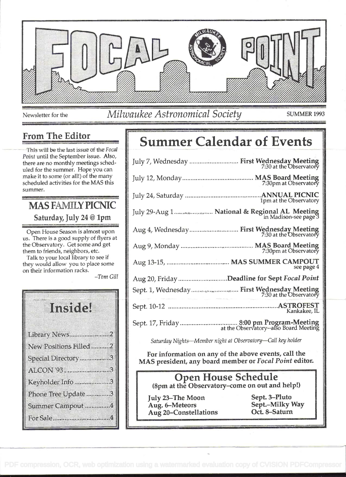

Newsletter for the Milwaukee Astronomical Society SUMMER 1993

### From The Editor

This will be the last issue of the Focal Point until the September issue. Also, there are no monthly meetings scheduled for the summer. Hope you can make it to some (or all!) of the many scheduled activities for the MAS this summer.

## MAS FAMILY PICMC Saturday, July 24 @ 1pm

Open House Season is almost upon us. There is a good supply of flyers at the Observatory. Get some and get them to friends, neighbors, etc.

Talk to your local library to see if they would allow you to place some on their information racks.

Tom Gill

| III. K                 |
|------------------------|
| Library News2          |
| New Positions Filled 2 |
| Special Directory 3    |
|                        |
| Keyholder Info 3       |
| Phone Tree Update 3    |
| Summer Campout4        |
| For Sale 4             |

# Summer Calendar of Events

| July 7, Wednesday  First Wednesday Meeting<br>7:30 at the Observatory  |  |
|------------------------------------------------------------------------|--|
|                                                                        |  |
| 1pm at the Observatory                                                 |  |
| July 29-Aug 1  National & Regional AL Meeting<br>in Madison-see page 3 |  |
| Aug 4, Wednesday First Wednesday Meeting<br>7:30 at the Observatory    |  |
|                                                                        |  |
| see page 4                                                             |  |
| Aug 20, Friday Deadline for Sept Focal Point                           |  |
|                                                                        |  |
| Kankakee, IL                                                           |  |
|                                                                        |  |

Saturday Nights-Member night at Observatory-Call key holder

For information on any of the above events, call the MAS president, any board member or Focal Point editor.

### Open House Schedule (8pm at the Observatory-come on out and help!)

July 23-The Moon Sept. 3-Pluto Aug. 6–Meteors Sept.–Milky Way<br>Aug 20–Constellations Oct. 8–Saturn Aug 20-Constellations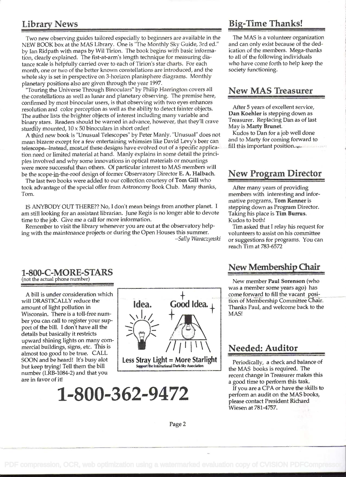Two new observing guides tailored especially to beginners are available in the NEW BOOK box at the MAS Library. One is 'The Monthly Sky Guide, 3rd ed." by Ian Ridpath with maps by Wil Tirion. The book begins with basic information, clearly explained. The fist-at-arm's length technique for measuring distance scale is helpfully carried over to each of Tirion's star charts. For each month, one or two of the better known constellations are introduced, and the whole sky is set in perspective on 3-horizon planisphere diagrams. Monthly planetary positions also are given through the year 1997.

"Touring the Universe Through Binoculars" by Philip Harrington covers all the constellations as well as lunar and planetary observing. The premise here, confirmed by most binocular users, is that observing with two eyes enhances resolution and color perception as well as the ability to detect fainter objects. The author lists the brighter objects of interest including many variable and binary stars. Readers should be warned in advance, however, that they'll crave sturdily mounted,  $10 \times 50$  binoculars in short order!

A third new book is "Unusual Telescopes" by Peter Manly. "Unusual" does not mean bizarre except for a few entertaining whimsies like David Levy's beer can telescope. Instead, most of these designs have evolved out of a specific application need or limited material at hand. Manly explains in some detail the principles involved and why some innovations in optical materials or mountings were more successful than others. Of particular interest to MAS members will be the scope-in-the-roof design of former Observatory Director E. A. Halbach.

The last two books were added to our collection courtesy of Tom Gill who took advantage of the special offer from Astronomy Book Club. Many thanks, Tom.

IS ANYBODY OUT THERE?? No, I don't mean beings from another planet. I am still looking for an assistant librarian. June Regis is no longer able to devote time to the job. Give me a call for more information.

Remember to visit the library whenever you are out at the observatory helping with the maintenance projects or during the Open Houses this summer. -Sally Waraczynski

### Library News Big-Time Thanks!

The MAS is a volunteer organization and can only exist because of the dedication of the members. Mega-thanks to all of the following individuals who have come forth to help keep the society functioning.

### New MAS Treasurer

After 5 years of excellent service, Dan Koehier is stepping down as Treasurer. Replacing Dan as of last May is Marty Brunet.

Kudos to Dan for a job well done and to Marty for coming forward to fill this important position.

### New Program Director

After many years of providing members with interesting and informative programs, Tom Renner is stepping down as Program Director. Taking his place is Tim Burrus. Kudos to both!

Tim asked that I relay his request for volunteers to assist on his committee or suggestions for programs. You can reach Tim at 783-6572

#### 1-800-C-MORE-STARS ( not the actual phone number)

A bill is under consideration which will DRASTICALLY reduce the amount of light pollution in Wisconsin. There is a toll-free number you can call to register your support of the bill. I don't have all the details but basically it restricts upward shining lights on many cornmercial buildings, signs, etc. This is almost too good to be true. CALL SOON and be heard! It's busy abt but keep trying! Tell them the bill number (LRB-1084-2) and that you

are in favor of it!

 $\uparrow$ Idea. Good Idea. $_\perp$  |  $\sqrt{1/1111}$  Needed: Auditor Less Stray Light = More Starlight Support the International Dark-Sky Association

1-800-362-9472



was a member some years ago) has come forward to fill the vacant position of Membership Committee Chair. Thanks Paul, and welcome back to the MAS!

Periodically, a check and balance of the MAS books is required. The recent change in Treasurer makes this a good time to perform this task.

If you are a CPA or have the skills to perform an audit on the MAS books, please contact President Richard Wiesen at 781-4757.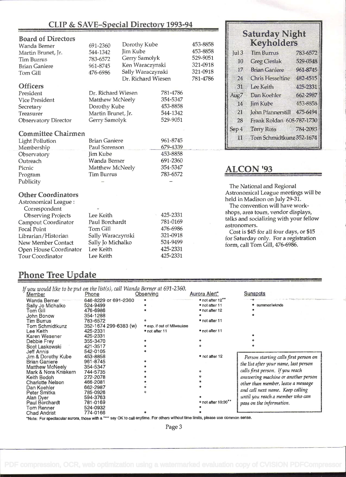### CLIP & SAVE-Special Directory 1993-94

**Saturday Night** Keyholder

| <b>Board of Directors</b>   |                    |                               |               |                      |                                                                                  |                                                                               |          |  |
|-----------------------------|--------------------|-------------------------------|---------------|----------------------|----------------------------------------------------------------------------------|-------------------------------------------------------------------------------|----------|--|
| Wanda Berner                | 691-2360           | Dorothy Kube                  |               | 453-8858             |                                                                                  | <u>i Kayman</u> as                                                            |          |  |
| Martin Brunet, Jr.          | 544-1342           | Jim Kube                      |               | 453-8858<br>529-9051 | ul3                                                                              | Him Burrus                                                                    | 788-5592 |  |
| <b>Tim Burrus</b>           | 783-6572           |                               | Gerry Samolyk |                      | 10                                                                               | <b>Greg Cieslak</b>                                                           | 399 (F)  |  |
| <b>Brian Ganiere</b>        | 961-8745           | Ken Waraczynski               |               | 321-0918             |                                                                                  |                                                                               |          |  |
| <b>Tom Gill</b>             | 476-6986           | Sally Waraczynski             |               | 321-0918             | 17                                                                               | <b>Brian Ganiere</b>                                                          | 9613745  |  |
|                             |                    | Dr. Richard Wiesen            |               | 781-4786             | 24                                                                               | <b>Chris Hesseltine</b>                                                       | 4324515  |  |
| <b>Officers</b>             |                    |                               |               |                      | 31                                                                               | <b>Lee Kath</b>                                                               | 425-2831 |  |
| President                   | Dr. Richard Wiesen |                               | 781-4786      |                      | Aug7                                                                             | Dan Koehler                                                                   | 662-2987 |  |
| <b>Vice President</b>       | Matthew McNeely    |                               | 354-5347      |                      |                                                                                  |                                                                               | 453-8858 |  |
| Secretary                   | Dorothy Kube       |                               | 453-8858      |                      | T4,                                                                              | Jim Kube                                                                      |          |  |
| Treasurer                   | Martin Brunet, Jr. |                               | 544-1342      |                      | 21                                                                               | John Pfannerstill                                                             | 475 6494 |  |
| <b>Observatory Director</b> | Gerry Samolyk      |                               | 529-9051      |                      | 28                                                                               | Frank Roldan 608-787-1730                                                     |          |  |
|                             |                    |                               |               |                      | Sep 4                                                                            | Terry Ross                                                                    | 784-2093 |  |
| <b>Committee Chairmen</b>   |                    |                               | 961-8745      |                      |                                                                                  | Tom Schmidtkunz352-1674                                                       |          |  |
| <b>Light Pollution</b>      |                    | <b>Brian Ganiere</b>          |               |                      | 11                                                                               |                                                                               |          |  |
| Membership                  | Paul Sorenson      |                               | 679-4339      |                      |                                                                                  |                                                                               |          |  |
| Observatory                 | Jim Kube           |                               | 453-8858      |                      |                                                                                  |                                                                               |          |  |
| Outreach                    | Wanda Berner       |                               | 691-2360      |                      |                                                                                  |                                                                               |          |  |
| Picnic                      | Matthew McNeely    |                               | 354-5347      |                      |                                                                                  | <b>ALCON '93</b>                                                              |          |  |
| Program                     | <b>Tim Burrus</b>  |                               | 783-6572      |                      |                                                                                  |                                                                               |          |  |
| Publicity                   |                    |                               |               |                      |                                                                                  |                                                                               |          |  |
|                             |                    |                               |               |                      |                                                                                  | The National and Regional                                                     |          |  |
| <b>Other Coordinators</b>   |                    |                               |               |                      |                                                                                  | Astronomical League meetings will be                                          |          |  |
| Astronomical League:        |                    |                               |               |                      |                                                                                  | held in Madison on July 29-31.<br>The convention will have work-              |          |  |
| Correspondent               |                    |                               |               |                      |                                                                                  |                                                                               |          |  |
| <b>Observing Projects</b>   | Lee Keith          |                               | 425-2331      |                      |                                                                                  | shops, area tours, vendor displays,<br>talks and socializing with your fellow |          |  |
| Campout Coordinator         | Paul Borchardt     |                               | 781-0169      |                      | astronomers.                                                                     |                                                                               |          |  |
| <b>Focal Point</b>          | Tom Gill           | 476-6986                      |               |                      |                                                                                  |                                                                               |          |  |
| Librarian/Historian         | Sally Waraczynski  |                               | 321-0918      |                      | Cost is \$45 for all four days, or \$15<br>for Saturday only. For a registration |                                                                               |          |  |
| New Member Contact          |                    | 524-9499<br>Sally Jo Michalko |               |                      |                                                                                  | form, call Tom Gill, 476-6986.                                                |          |  |
| Open House Coordinator      | Lee Keith          |                               | 425-2331      |                      |                                                                                  |                                                                               |          |  |
| <b>Tour Coordinator</b>     | Lee Keith          |                               | 425-2331      |                      |                                                                                  |                                                                               |          |  |

### Phone Tree Update

|                         | If you would like to be put on the list(s), call Wanda Berner at 691-2360. |                            |                             |                                       |
|-------------------------|----------------------------------------------------------------------------|----------------------------|-----------------------------|---------------------------------------|
| Member                  | Phone                                                                      | Observing                  | Aurora Alert*               | <b>Sunspots</b>                       |
| Wanda Berner            | 646-8229 or 691-2360                                                       |                            | $\bullet$ not after 12 $**$ |                                       |
| Sally Jo Michalko       | 524-9499                                                                   |                            | • not after 11              | summer/wknds                          |
| Tom Gill                | 476-6986                                                                   |                            | • not after 12              |                                       |
| John Bonow              | 354-1288                                                                   |                            |                             |                                       |
| Tim Burrus              | 783-6572                                                                   |                            | • not after 11              |                                       |
| Tom Schmidtkunz         | 352-1674 299-6383 (w)                                                      | • esp. if out of Milwaukee |                             |                                       |
| Lee Keith               | 425-2331                                                                   | • not after 11             | • not after 11              |                                       |
| Karen Wesener           | 425-2331                                                                   |                            |                             |                                       |
| Debbie Frey             | 355-3470                                                                   |                            |                             |                                       |
| Scot Laskowski          | 421-3517                                                                   |                            |                             |                                       |
| Jeff Annis              | 542-0105                                                                   |                            |                             |                                       |
| Jim & Dorothy Kube      | 453-8858                                                                   |                            | • not after 12              | Person starting calls first person on |
| <b>Brian Ganiere</b>    | 961-8745                                                                   |                            |                             | the list after your name, last person |
| Matthew McNeely         | 354-5347                                                                   |                            |                             |                                       |
| Mark & Nora Kniskern    | 744-5735                                                                   |                            |                             | calls first person. If you reach      |
| Keith Bodoh             | 272-2078                                                                   |                            |                             | answering machine or another person   |
| <b>Charlotte Nelson</b> | 466-2081                                                                   |                            |                             | other than member, leave a message    |
| Dan Koehler             | 662-2987                                                                   |                            |                             |                                       |
| Peter Smitka            | 785-0926                                                                   |                            |                             | and call next name. Keep calling      |
| Alan Dyer               | 594-3763                                                                   |                            |                             | until you reach a member who can      |
| Paul Borchardt          | 781-0169                                                                   |                            | • not after 10:30**         | pass on the information.              |
| Tom Renner              | 524-0932                                                                   |                            |                             |                                       |
| <b>Chad Andrist</b>     | 774-0166                                                                   |                            |                             |                                       |

\*Note: For spectacular aurora, those with a "\*\*" say OK to call anytime. For others without time limits, please use common sense.